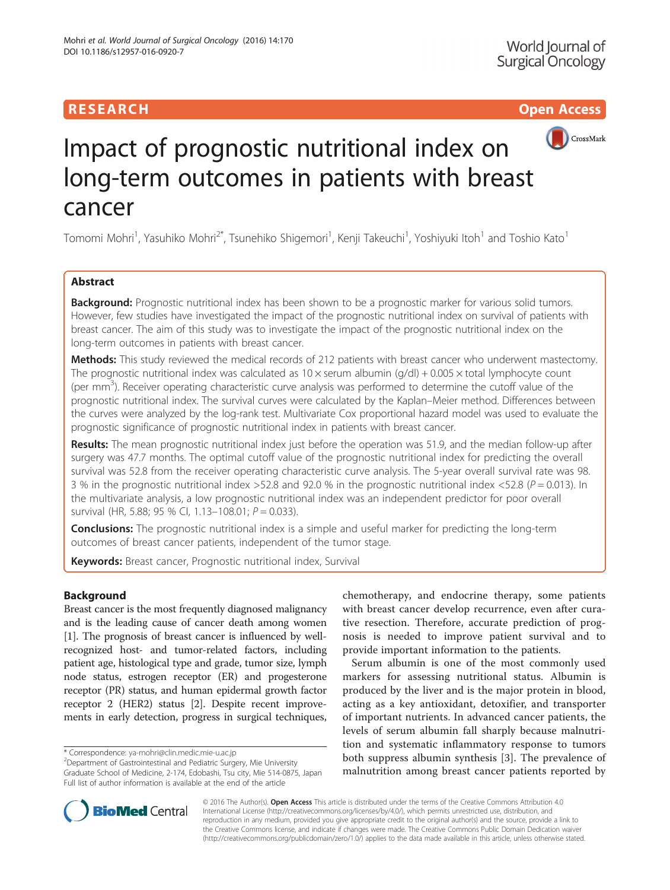## RESEARCH **RESEARCH CHOOSE ACCESS**



# Impact of prognostic nutritional index on long-term outcomes in patients with breast cancer

Tomomi Mohri<sup>1</sup>, Yasuhiko Mohri<sup>2\*</sup>, Tsunehiko Shigemori<sup>1</sup>, Kenji Takeuchi<sup>1</sup>, Yoshiyuki Itoh<sup>1</sup> and Toshio Kato<sup>1</sup>

## Abstract

**Background:** Prognostic nutritional index has been shown to be a prognostic marker for various solid tumors. However, few studies have investigated the impact of the prognostic nutritional index on survival of patients with breast cancer. The aim of this study was to investigate the impact of the prognostic nutritional index on the long-term outcomes in patients with breast cancer.

Methods: This study reviewed the medical records of 212 patients with breast cancer who underwent mastectomy. The prognostic nutritional index was calculated as  $10 \times$  serum albumin (g/dl) + 0.005  $\times$  total lymphocyte count (per mm<sup>3</sup>). Receiver operating characteristic curve analysis was performed to determine the cutoff value of the prognostic nutritional index. The survival curves were calculated by the Kaplan–Meier method. Differences between the curves were analyzed by the log-rank test. Multivariate Cox proportional hazard model was used to evaluate the prognostic significance of prognostic nutritional index in patients with breast cancer.

Results: The mean prognostic nutritional index just before the operation was 51.9, and the median follow-up after surgery was 47.7 months. The optimal cutoff value of the prognostic nutritional index for predicting the overall survival was 52.8 from the receiver operating characteristic curve analysis. The 5-year overall survival rate was 98. 3 % in the prognostic nutritional index >52.8 and 92.0 % in the prognostic nutritional index <52.8 ( $P = 0.013$ ). In the multivariate analysis, a low prognostic nutritional index was an independent predictor for poor overall survival (HR, 5.88; 95 % CI, 1.13-108.01;  $P = 0.033$ ).

**Conclusions:** The prognostic nutritional index is a simple and useful marker for predicting the long-term outcomes of breast cancer patients, independent of the tumor stage.

Keywords: Breast cancer, Prognostic nutritional index, Survival

## Background

Breast cancer is the most frequently diagnosed malignancy and is the leading cause of cancer death among women [[1\]](#page-4-0). The prognosis of breast cancer is influenced by wellrecognized host- and tumor-related factors, including patient age, histological type and grade, tumor size, lymph node status, estrogen receptor (ER) and progesterone receptor (PR) status, and human epidermal growth factor receptor 2 (HER2) status [[2](#page-4-0)]. Despite recent improvements in early detection, progress in surgical techniques,

Department of Gastrointestinal and Pediatric Surgery, Mie University Graduate School of Medicine, 2-174, Edobashi, Tsu city, Mie 514-0875, Japan Full list of author information is available at the end of the article

chemotherapy, and endocrine therapy, some patients with breast cancer develop recurrence, even after curative resection. Therefore, accurate prediction of prognosis is needed to improve patient survival and to provide important information to the patients.

Serum albumin is one of the most commonly used markers for assessing nutritional status. Albumin is produced by the liver and is the major protein in blood, acting as a key antioxidant, detoxifier, and transporter of important nutrients. In advanced cancer patients, the levels of serum albumin fall sharply because malnutrition and systematic inflammatory response to tumors both suppress albumin synthesis [[3\]](#page-4-0). The prevalence of malnutrition among breast cancer patients reported by



© 2016 The Author(s). Open Access This article is distributed under the terms of the Creative Commons Attribution 4.0 International License [\(http://creativecommons.org/licenses/by/4.0/](http://creativecommons.org/licenses/by/4.0/)), which permits unrestricted use, distribution, and reproduction in any medium, provided you give appropriate credit to the original author(s) and the source, provide a link to the Creative Commons license, and indicate if changes were made. The Creative Commons Public Domain Dedication waiver [\(http://creativecommons.org/publicdomain/zero/1.0/](http://creativecommons.org/publicdomain/zero/1.0/)) applies to the data made available in this article, unless otherwise stated.

<sup>\*</sup> Correspondence: [ya-mohri@clin.medic.mie-u.ac.jp](mailto:ya-mohri@clin.medic.mie-u.ac.jp) <sup>2</sup>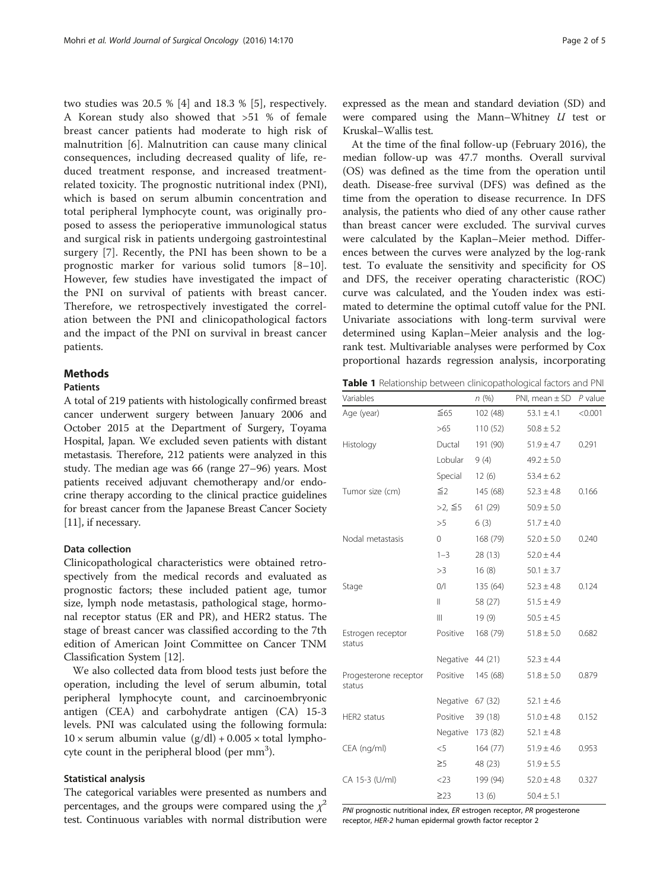<span id="page-1-0"></span>two studies was 20.5 % [[4](#page-4-0)] and 18.3 % [[5\]](#page-4-0), respectively. A Korean study also showed that >51 % of female breast cancer patients had moderate to high risk of malnutrition [[6\]](#page-4-0). Malnutrition can cause many clinical consequences, including decreased quality of life, reduced treatment response, and increased treatmentrelated toxicity. The prognostic nutritional index (PNI), which is based on serum albumin concentration and total peripheral lymphocyte count, was originally proposed to assess the perioperative immunological status and surgical risk in patients undergoing gastrointestinal surgery [\[7](#page-4-0)]. Recently, the PNI has been shown to be a prognostic marker for various solid tumors [[8](#page-4-0)–[10](#page-4-0)]. However, few studies have investigated the impact of the PNI on survival of patients with breast cancer. Therefore, we retrospectively investigated the correlation between the PNI and clinicopathological factors and the impact of the PNI on survival in breast cancer patients.

## Methods

## Patients

A total of 219 patients with histologically confirmed breast cancer underwent surgery between January 2006 and October 2015 at the Department of Surgery, Toyama Hospital, Japan. We excluded seven patients with distant metastasis. Therefore, 212 patients were analyzed in this study. The median age was 66 (range 27–96) years. Most patients received adjuvant chemotherapy and/or endocrine therapy according to the clinical practice guidelines for breast cancer from the Japanese Breast Cancer Society [[11](#page-4-0)], if necessary.

## Data collection

Clinicopathological characteristics were obtained retrospectively from the medical records and evaluated as prognostic factors; these included patient age, tumor size, lymph node metastasis, pathological stage, hormonal receptor status (ER and PR), and HER2 status. The stage of breast cancer was classified according to the 7th edition of American Joint Committee on Cancer TNM Classification System [[12\]](#page-4-0).

We also collected data from blood tests just before the operation, including the level of serum albumin, total peripheral lymphocyte count, and carcinoembryonic antigen (CEA) and carbohydrate antigen (CA) 15-3 levels. PNI was calculated using the following formula:  $10 \times$  serum albumin value  $(g/dl) + 0.005 \times$  total lymphocyte count in the peripheral blood (per  $mm<sup>3</sup>$ ).

#### Statistical analysis

The categorical variables were presented as numbers and percentages, and the groups were compared using the  $\chi^2$ test. Continuous variables with normal distribution were expressed as the mean and standard deviation (SD) and were compared using the Mann–Whitney  $U$  test or Kruskal–Wallis test.

At the time of the final follow-up (February 2016), the median follow-up was 47.7 months. Overall survival (OS) was defined as the time from the operation until death. Disease-free survival (DFS) was defined as the time from the operation to disease recurrence. In DFS analysis, the patients who died of any other cause rather than breast cancer were excluded. The survival curves were calculated by the Kaplan–Meier method. Differences between the curves were analyzed by the log-rank test. To evaluate the sensitivity and specificity for OS and DFS, the receiver operating characteristic (ROC) curve was calculated, and the Youden index was estimated to determine the optimal cutoff value for the PNI. Univariate associations with long-term survival were determined using Kaplan–Meier analysis and the logrank test. Multivariable analyses were performed by Cox proportional hazards regression analysis, incorporating

Table 1 Relationship between clinicopathological factors and PNI

| Variables                       |               | n(%)     | PNI, mean $\pm$ SD $P$ value |         |
|---------------------------------|---------------|----------|------------------------------|---------|
| Age (year)                      | $\leq 65$     | 102 (48) | $53.1 \pm 4.1$               | < 0.001 |
|                                 | >65           | 110(52)  | $50.8 \pm 5.2$               |         |
| Histology                       | Ductal        | 191 (90) | $51.9 \pm 4.7$               | 0.291   |
|                                 | Lobular       | 9(4)     | $49.2 \pm 5.0$               |         |
|                                 | Special       | 12(6)    | $53.4 \pm 6.2$               |         |
| Tumor size (cm)                 | $\leq$ 2      | 145 (68) | $52.3 \pm 4.8$               | 0.166   |
|                                 | >2, ≦5        | 61 (29)  | $50.9 \pm 5.0$               |         |
|                                 | >5            | 6(3)     | $51.7 \pm 4.0$               |         |
| Nodal metastasis                | 0             | 168 (79) | $52.0 \pm 5.0$               | 0.240   |
|                                 | $1 - 3$       | 28 (13)  | $52.0 \pm 4.4$               |         |
|                                 | >3            | 16(8)    | $50.1 \pm 3.7$               |         |
| Stage                           | 0/1           | 135 (64) | $52.3 \pm 4.8$               | 0.124   |
|                                 | $\mathbf{  }$ | 58 (27)  | $51.5 \pm 4.9$               |         |
|                                 | Ш             | 19(9)    | $50.5 \pm 4.5$               |         |
| Estrogen receptor<br>status     | Positive      | 168 (79) | $51.8 \pm 5.0$               | 0.682   |
|                                 | Negative      | 44 (21)  | $52.3 \pm 4.4$               |         |
| Progesterone receptor<br>status | Positive      | 145 (68) | $51.8 \pm 5.0$               | 0.879   |
|                                 | Negative      | 67 (32)  | $52.1 \pm 4.6$               |         |
| HER2 status                     | Positive      | 39 (18)  | $51.0 \pm 4.8$               | 0.152   |
|                                 | Negative      | 173 (82) | $52.1 \pm 4.8$               |         |
| CEA (ng/ml)                     | $<$ 5         | 164 (77) | $51.9 \pm 4.6$               | 0.953   |
|                                 | $\geq$ 5      | 48 (23)  | $51.9 \pm 5.5$               |         |
| CA 15-3 (U/ml)                  | $<$ 23        | 199 (94) | $52.0 \pm 4.8$               | 0.327   |
|                                 | $\geq$ 23     | 13(6)    | $50.4 \pm 5.1$               |         |

PNI prognostic nutritional index, ER estrogen receptor, PR progesterone receptor, HER-2 human epidermal growth factor receptor 2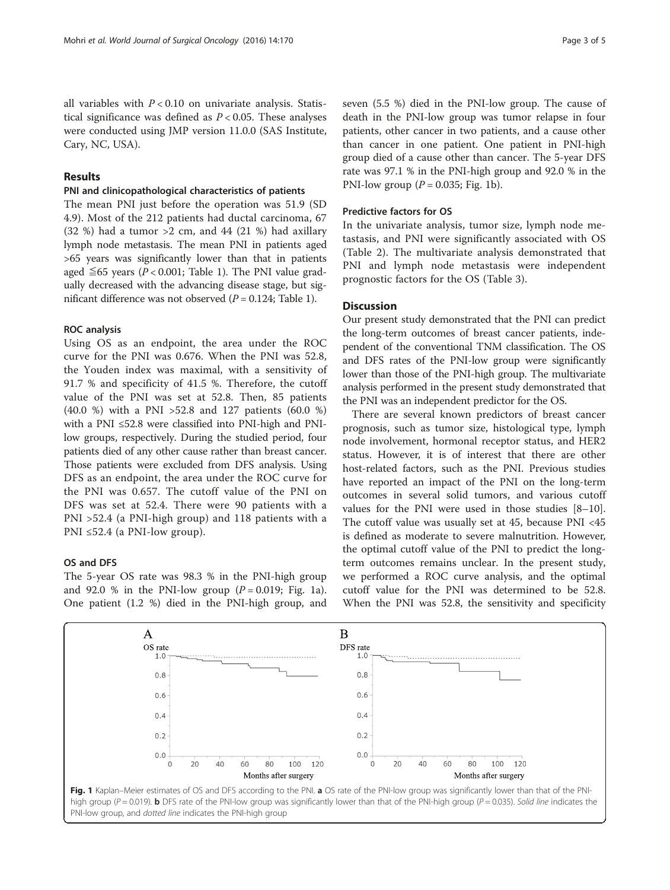all variables with  $P < 0.10$  on univariate analysis. Statistical significance was defined as  $P < 0.05$ . These analyses were conducted using JMP version 11.0.0 (SAS Institute, Cary, NC, USA).

## Results

## PNI and clinicopathological characteristics of patients

The mean PNI just before the operation was 51.9 (SD 4.9). Most of the 212 patients had ductal carcinoma, 67 (32 %) had a tumor  $>2$  cm, and 44 (21 %) had axillary lymph node metastasis. The mean PNI in patients aged >65 years was significantly lower than that in patients aged  $\leq 65$  years (P < 0.001; Table [1\)](#page-1-0). The PNI value gradually decreased with the advancing disease stage, but significant difference was not observed  $(P = 0.124;$  Table [1\)](#page-1-0).

## ROC analysis

Using OS as an endpoint, the area under the ROC curve for the PNI was 0.676. When the PNI was 52.8, the Youden index was maximal, with a sensitivity of 91.7 % and specificity of 41.5 %. Therefore, the cutoff value of the PNI was set at 52.8. Then, 85 patients (40.0 %) with a PNI >52.8 and 127 patients (60.0 %) with a PNI ≤52.8 were classified into PNI-high and PNIlow groups, respectively. During the studied period, four patients died of any other cause rather than breast cancer. Those patients were excluded from DFS analysis. Using DFS as an endpoint, the area under the ROC curve for the PNI was 0.657. The cutoff value of the PNI on DFS was set at 52.4. There were 90 patients with a PNI >52.4 (a PNI-high group) and 118 patients with a PNI ≤52.4 (a PNI-low group).

## OS and DFS

The 5-year OS rate was 98.3 % in the PNI-high group and 92.0 % in the PNI-low group  $(P = 0.019;$  Fig. 1a). One patient (1.2 %) died in the PNI-high group, and seven (5.5 %) died in the PNI-low group. The cause of death in the PNI-low group was tumor relapse in four patients, other cancer in two patients, and a cause other than cancer in one patient. One patient in PNI-high group died of a cause other than cancer. The 5-year DFS rate was 97.1 % in the PNI-high group and 92.0 % in the PNI-low group ( $P = 0.035$ ; Fig. 1b).

## Predictive factors for OS

In the univariate analysis, tumor size, lymph node metastasis, and PNI were significantly associated with OS (Table [2\)](#page-3-0). The multivariate analysis demonstrated that PNI and lymph node metastasis were independent prognostic factors for the OS (Table [3](#page-3-0)).

## **Discussion**

Our present study demonstrated that the PNI can predict the long-term outcomes of breast cancer patients, independent of the conventional TNM classification. The OS and DFS rates of the PNI-low group were significantly lower than those of the PNI-high group. The multivariate analysis performed in the present study demonstrated that the PNI was an independent predictor for the OS.

There are several known predictors of breast cancer prognosis, such as tumor size, histological type, lymph node involvement, hormonal receptor status, and HER2 status. However, it is of interest that there are other host-related factors, such as the PNI. Previous studies have reported an impact of the PNI on the long-term outcomes in several solid tumors, and various cutoff values for the PNI were used in those studies [[8](#page-4-0)–[10](#page-4-0)]. The cutoff value was usually set at 45, because PNI <45 is defined as moderate to severe malnutrition. However, the optimal cutoff value of the PNI to predict the longterm outcomes remains unclear. In the present study, we performed a ROC curve analysis, and the optimal cutoff value for the PNI was determined to be 52.8. When the PNI was 52.8, the sensitivity and specificity



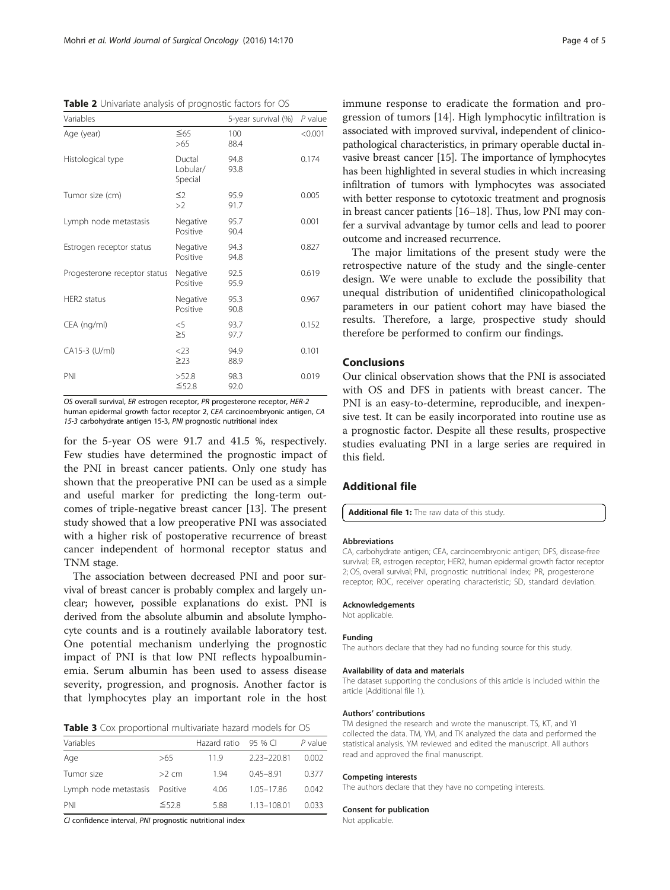<span id="page-3-0"></span>Table 2 Univariate analysis of prognostic factors for OS

| Variables                    |                               | 5-year survival (%) | P value |
|------------------------------|-------------------------------|---------------------|---------|
| Age (year)                   | $\leq 65$<br>>65              | 100<br>88.4         | < 0.001 |
| Histological type            | Ductal<br>Lobular/<br>Special | 94.8<br>93.8        | 0.174   |
| Tumor size (cm)              | $\leq$<br>>2                  | 95.9<br>91.7        | 0.005   |
| Lymph node metastasis        | Negative<br>Positive          | 95.7<br>90.4        | 0.001   |
| Estrogen receptor status     | Negative<br>Positive          | 94.3<br>94.8        | 0.827   |
| Progesterone receptor status | Negative<br>Positive          | 92.5<br>95.9        | 0.619   |
| HER2 status                  | Negative<br>Positive          | 95.3<br>90.8        | 0.967   |
| CEA (ng/ml)                  | $<$ 5<br>$\geq$ 5             | 93.7<br>97.7        | 0.152   |
| CA15-3 (U/ml)                | $<$ 23<br>$\geq$ 23           | 94.9<br>88.9        | 0.101   |
| PNI                          | >52.8<br>$\leq$ 52.8          | 98.3<br>92.0        | 0.019   |

OS overall survival, ER estrogen receptor, PR progesterone receptor, HER-2 human epidermal growth factor receptor 2, CEA carcinoembryonic antigen, CA 15-3 carbohydrate antigen 15-3, PNI prognostic nutritional index

for the 5-year OS were 91.7 and 41.5 %, respectively. Few studies have determined the prognostic impact of the PNI in breast cancer patients. Only one study has shown that the preoperative PNI can be used as a simple and useful marker for predicting the long-term outcomes of triple-negative breast cancer [[13\]](#page-4-0). The present study showed that a low preoperative PNI was associated with a higher risk of postoperative recurrence of breast cancer independent of hormonal receptor status and TNM stage.

The association between decreased PNI and poor survival of breast cancer is probably complex and largely unclear; however, possible explanations do exist. PNI is derived from the absolute albumin and absolute lymphocyte counts and is a routinely available laboratory test. One potential mechanism underlying the prognostic impact of PNI is that low PNI reflects hypoalbuminemia. Serum albumin has been used to assess disease severity, progression, and prognosis. Another factor is that lymphocytes play an important role in the host

Table 3 Cox proportional multivariate hazard models for OS

| Variables                      |             | Hazard ratio 95 % CI |               | P value |
|--------------------------------|-------------|----------------------|---------------|---------|
| Age                            | >65         | 119                  | 2.23-220.81   | 0.002   |
| Tumor size                     | $>2$ cm     | 194                  | $0.45 - 8.91$ | 0.377   |
| Lymph node metastasis Positive |             | 4.06                 | 1.05-17.86    | 0.042   |
| PNI                            | $\leq 52.8$ | 588                  | 1.13-108.01   | 0.033   |

CI confidence interval, PNI prognostic nutritional index

immune response to eradicate the formation and progression of tumors [[14](#page-4-0)]. High lymphocytic infiltration is associated with improved survival, independent of clinicopathological characteristics, in primary operable ductal invasive breast cancer [\[15](#page-4-0)]. The importance of lymphocytes has been highlighted in several studies in which increasing infiltration of tumors with lymphocytes was associated with better response to cytotoxic treatment and prognosis in breast cancer patients [[16](#page-4-0)–[18\]](#page-4-0). Thus, low PNI may confer a survival advantage by tumor cells and lead to poorer outcome and increased recurrence.

The major limitations of the present study were the retrospective nature of the study and the single-center design. We were unable to exclude the possibility that unequal distribution of unidentified clinicopathological parameters in our patient cohort may have biased the results. Therefore, a large, prospective study should therefore be performed to confirm our findings.

## Conclusions

Our clinical observation shows that the PNI is associated with OS and DFS in patients with breast cancer. The PNI is an easy-to-determine, reproducible, and inexpensive test. It can be easily incorporated into routine use as a prognostic factor. Despite all these results, prospective studies evaluating PNI in a large series are required in this field.

## Additional file

[Additional file 1:](dx.doi.org/10.1186/s12957-016-0920-7) The raw data of this study.

#### Abbreviations

CA, carbohydrate antigen; CEA, carcinoembryonic antigen; DFS, disease-free survival; ER, estrogen receptor; HER2, human epidermal growth factor receptor 2; OS, overall survival; PNI, prognostic nutritional index; PR, progesterone receptor; ROC, receiver operating characteristic; SD, standard deviation.

#### Acknowledgements

Not applicable.

#### Funding

The authors declare that they had no funding source for this study.

#### Availability of data and materials

The dataset supporting the conclusions of this article is included within the article (Additional file 1).

#### Authors' contributions

TM designed the research and wrote the manuscript. TS, KT, and YI collected the data. TM, YM, and TK analyzed the data and performed the statistical analysis. YM reviewed and edited the manuscript. All authors read and approved the final manuscript.

#### Competing interests

The authors declare that they have no competing interests.

#### Consent for publication

Not applicable.